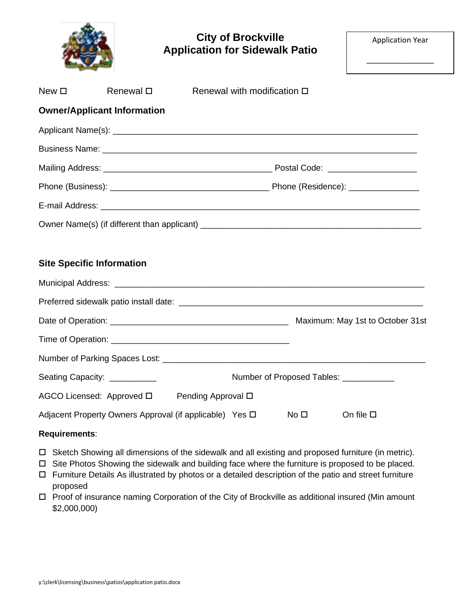|                  |                                              | <b>City of Brockville</b><br><b>Application for Sidewalk Patio</b>                                               | <b>Application Year</b> |  |  |  |
|------------------|----------------------------------------------|------------------------------------------------------------------------------------------------------------------|-------------------------|--|--|--|
| New <sub>D</sub> | Renewal $\square$                            | Renewal with modification $\square$                                                                              |                         |  |  |  |
|                  | <b>Owner/Applicant Information</b>           |                                                                                                                  |                         |  |  |  |
|                  |                                              |                                                                                                                  |                         |  |  |  |
|                  |                                              |                                                                                                                  |                         |  |  |  |
|                  |                                              |                                                                                                                  |                         |  |  |  |
|                  |                                              |                                                                                                                  |                         |  |  |  |
|                  |                                              | E-mail Address: <u>December 2008 and Communications and Communications and Communications and Communications</u> |                         |  |  |  |
|                  | <b>Site Specific Information</b>             |                                                                                                                  |                         |  |  |  |
|                  |                                              |                                                                                                                  |                         |  |  |  |
|                  |                                              |                                                                                                                  |                         |  |  |  |
|                  |                                              |                                                                                                                  |                         |  |  |  |
|                  |                                              |                                                                                                                  |                         |  |  |  |
|                  | Number of Parking Spaces Lost:               |                                                                                                                  |                         |  |  |  |
|                  | Seating Capacity: __________                 | Number of Proposed Tables: ___________                                                                           |                         |  |  |  |
|                  | AGCO Licensed: Approved □ Pending Approval □ |                                                                                                                  |                         |  |  |  |
|                  |                                              | Adjacent Property Owners Approval (if applicable) Yes D<br>No <sub>1</sub>                                       | On file $\square$       |  |  |  |
| Requirements:    |                                              |                                                                                                                  |                         |  |  |  |
|                  |                                              |                                                                                                                  |                         |  |  |  |

- Sketch Showing all dimensions of the sidewalk and all existing and proposed furniture (in metric).
- □ Site Photos Showing the sidewalk and building face where the furniture is proposed to be placed.
- Furniture Details As illustrated by photos or a detailed description of the patio and street furniture proposed
- □ Proof of insurance naming Corporation of the City of Brockville as additional insured (Min amount \$2,000,000)